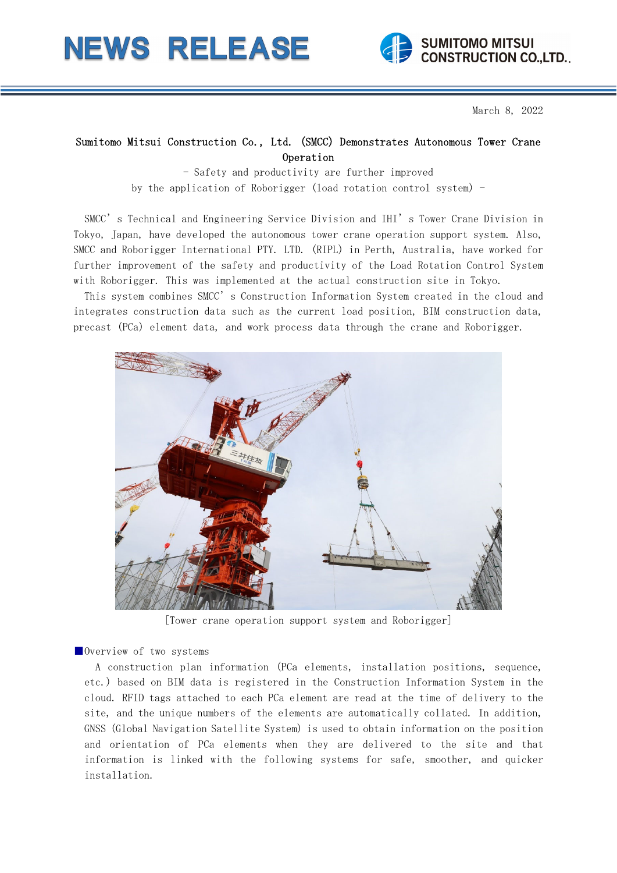# **NEWS RELEASE**



March 8, 2022

# Sumitomo Mitsui Construction Co., Ltd. (SMCC) Demonstrates Autonomous Tower Crane Operation

- Safety and productivity are further improved by the application of Roborigger (load rotation control system) -

SMCC's Technical and Engineering Service Division and IHI's Tower Crane Division in Tokyo, Japan, have developed the autonomous tower crane operation support system. Also, SMCC and Roborigger International PTY. LTD. (RIPL) in Perth, Australia, have worked for further improvement of the safety and productivity of the Load Rotation Control System with Roborigger. This was implemented at the actual construction site in Tokyo.

This system combines SMCC's Construction Information System created in the cloud and integrates construction data such as the current load position, BIM construction data, precast (PCa) element data, and work process data through the crane and Roborigger.



[Tower crane operation support system and Roborigger]

■Overview of two systems

A construction plan information (PCa elements, installation positions, sequence, etc.) based on BIM data is registered in the Construction Information System in the cloud. RFID tags attached to each PCa element are read at the time of delivery to the site, and the unique numbers of the elements are automatically collated. In addition, GNSS (Global Navigation Satellite System) is used to obtain information on the position and orientation of PCa elements when they are delivered to the site and that information is linked with the following systems for safe, smoother, and quicker installation.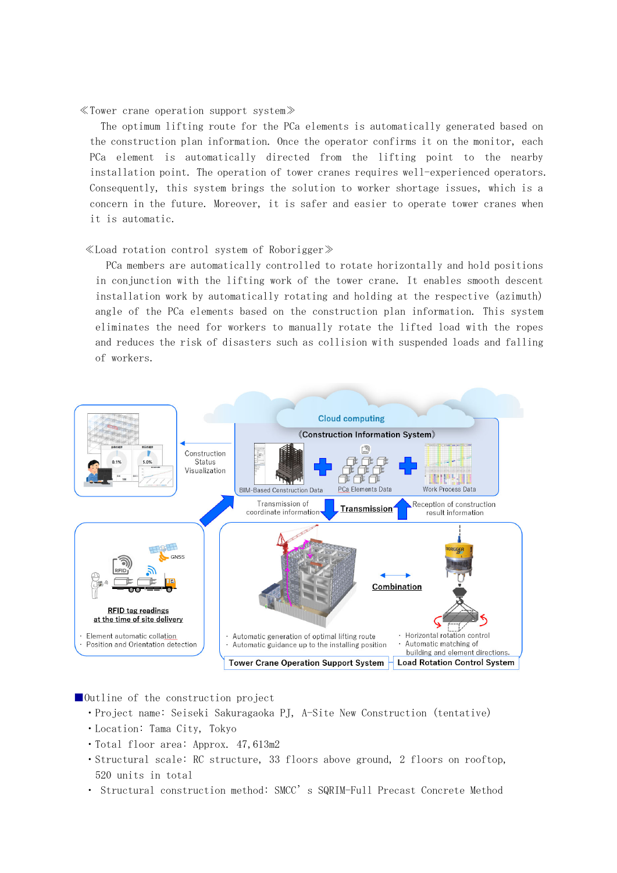### ≪Tower crane operation support system≫

The optimum lifting route for the PCa elements is automatically generated based on the construction plan information. Once the operator confirms it on the monitor, each PCa element is automatically directed from the lifting point to the nearby installation point. The operation of tower cranes requires well-experienced operators. Consequently, this system brings the solution to worker shortage issues, which is a concern in the future. Moreover, it is safer and easier to operate tower cranes when it is automatic.

#### ≪Load rotation control system of Roborigger≫

PCa members are automatically controlled to rotate horizontally and hold positions in conjunction with the lifting work of the tower crane. It enables smooth descent installation work by automatically rotating and holding at the respective (azimuth) angle of the PCa elements based on the construction plan information. This system eliminates the need for workers to manually rotate the lifted load with the ropes and reduces the risk of disasters such as collision with suspended loads and falling of workers.



# ■Outline of the construction project

- ・Project name: Seiseki Sakuragaoka PJ, A-Site New Construction (tentative)
- ・Location: Tama City, Tokyo
- ・Total floor area: Approx. 47,613m2
- ・Structural scale: RC structure, 33 floors above ground, 2 floors on rooftop, 520 units in total
- ・ Structural construction method: SMCC's SQRIM-Full Precast Concrete Method